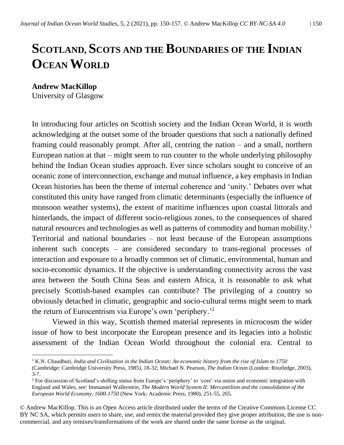## **SCOTLAND, SCOTS AND THE BOUNDARIES OF THE INDIAN OCEAN WORLD**

**Andrew MacKillop**

University of Glasgow

In introducing four articles on Scottish society and the Indian Ocean World, it is worth acknowledging at the outset some of the broader questions that such a nationally defined framing could reasonably prompt. After all, centring the nation – and a small, northern European nation at that – might seem to run counter to the whole underlying philosophy behind the Indian Ocean studies approach. Ever since scholars sought to conceive of an oceanic zone of interconnection, exchange and mutual influence, a key emphasis in Indian Ocean histories has been the theme of internal coherence and 'unity.' Debates over what constituted this unity have ranged from climatic determinants (especially the influence of monsoon weather systems), the extent of maritime influences upon coastal littorals and hinterlands, the impact of different socio-religious zones, to the consequences of shared natural resources and technologies as well as patterns of commodity and human mobility.<sup>1</sup> Territorial and national boundaries – not least because of the European assumptions inherent such concepts – are considered secondary to trans-regional processes of interaction and exposure to a broadly common set of climatic, environmental, human and socio-economic dynamics. If the objective is understanding connectivity across the vast area between the South China Seas and eastern Africa, it is reasonable to ask what precisely Scottish-based examples can contribute? The privileging of a country so obviously detached in climatic, geographic and socio-cultural terms might seem to mark the return of Eurocentrism via Europe's own 'periphery.'<sup>2</sup>

Viewed in this way, Scottish themed material represents in microcosm the wider issue of how to best incorporate the European presence and its legacies into a holistic assessment of the Indian Ocean World throughout the colonial era. Central to

© Andrew MacKillop. This is an Open Access article distributed under the terms of the Creative Commons License CC BY NC SA, which permits users to share, use, and remix the material provided they give proper attribution, the use is noncommercial, and any remixes/transformations of the work are shared under the same license as the original.

<sup>&</sup>lt;sup>1</sup> K.N. Chaudhuri, *India and Civilisation in the Indian Ocean: An economic history from the rise of Islam to 1750* 

<sup>(</sup>Cambridge: Cambridge University Press, 1985), 18-32; Michael N. Pearson, *The Indian Ocean* (London: Routledge, 2003), 3-7.

<sup>&</sup>lt;sup>2</sup> For discussion of Scotland's shifting status from Europe's 'periphery' to 'core' via union and economic integration with England and Wales, see: Immanuel Wallerstein, *The Modern World System II: Mercantilism and the consolidation of the European World Economy, 1600-1750* (New York: Academic Press, 1980), 251-55, 265.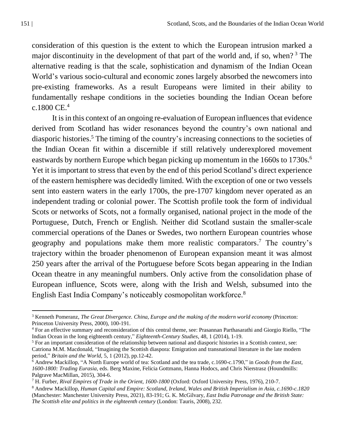consideration of this question is the extent to which the European intrusion marked a major discontinuity in the development of that part of the world and, if so, when? <sup>3</sup> The alternative reading is that the scale, sophistication and dynamism of the Indian Ocean World's various socio-cultural and economic zones largely absorbed the newcomers into pre-existing frameworks. As a result Europeans were limited in their ability to fundamentally reshape conditions in the societies bounding the Indian Ocean before c.1800 CE. $4$ 

It is in this context of an ongoing re-evaluation of European influences that evidence derived from Scotland has wider resonances beyond the country's own national and diasporic histories.<sup>5</sup> The timing of the country's increasing connections to the societies of the Indian Ocean fit within a discernible if still relatively underexplored movement eastwards by northern Europe which began picking up momentum in the 1660s to 1730s.<sup>6</sup> Yet it is important to stress that even by the end of this period Scotland's direct experience of the eastern hemisphere was decidedly limited. With the exception of one or two vessels sent into eastern waters in the early 1700s, the pre-1707 kingdom never operated as an independent trading or colonial power. The Scottish profile took the form of individual Scots or networks of Scots, not a formally organised, national project in the mode of the Portuguese, Dutch, French or English. Neither did Scotland sustain the smaller-scale commercial operations of the Danes or Swedes, two northern European countries whose geography and populations make them more realistic comparators. <sup>7</sup> The country's trajectory within the broader phenomenon of European expansion meant it was almost 250 years after the arrival of the Portuguese before Scots began appearing in the Indian Ocean theatre in any meaningful numbers. Only active from the consolidation phase of European influence, Scots were, along with the Irish and Welsh, subsumed into the English East India Company's noticeably cosmopolitan workforce.<sup>8</sup>

<sup>3</sup> Kenneth Pomeranz, *The Great Divergence. China, Europe and the making of the modern world economy* (Princeton: Princeton University Press, 2000), 100-191.

<sup>4</sup> For an effective summary and reconsideration of this central theme, see: Prasannan Parthasarathi and Giorgio Riello, "The Indian Ocean in the long eighteenth century," *Eighteenth-Century Studies*, 48, 1 (2014), 1-19.

<sup>5</sup> For an important consideration of the relationship between national and diasporic histories in a Scottish context, see: Catriona M.M. Macdonald, "Imagining the Scottish diaspora: Emigration and transnational literature in the late modern period," *Britain and the World*, 5, 1 (2012), pp.12-42.

<sup>6</sup> Andrew Mackillop, "A North Europe world of tea: Scotland and the tea trade, c.1690-c.1790," in *Goods from the East, 1600-1800: Trading Eurasia*, eds. Berg Maxine, Felicia Gottmann, Hanna Hodocs, and Chris Nierstrasz (Houndmills: Palgrave MacMillan, 2015), 304-6.

<sup>7</sup> H. Furber, *Rival Empires of Trade in the Orient, 1600-1800* (Oxford: Oxford University Press, 1976), 210-7.

<sup>8</sup> Andrew Mackillop, *Human Capital and Empire: Scotland, Ireland, Wales and British Imperialism in Asia, c.1690-c.1820*  (Manchester: Manchester University Press, 2021), 83-191; G. K. McGilvary, *East India Patronage and the British State: The Scottish elite and politics in the eighteenth century* (London: Tauris, 2008), 232.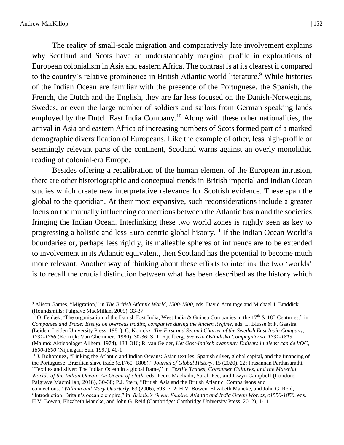The reality of small-scale migration and comparatively late involvement explains why Scotland and Scots have an understandably marginal profile in explorations of European colonialism in Asia and eastern Africa. The contrast is at its clearest if compared to the country's relative prominence in British Atlantic world literature.<sup>9</sup> While histories of the Indian Ocean are familiar with the presence of the Portuguese, the Spanish, the French, the Dutch and the English, they are far less focused on the Danish-Norwegians, Swedes, or even the large number of soldiers and sailors from German speaking lands employed by the Dutch East India Company.<sup>10</sup> Along with these other nationalities, the arrival in Asia and eastern Africa of increasing numbers of Scots formed part of a marked demographic diversification of Europeans. Like the example of other, less high-profile or seemingly relevant parts of the continent, Scotland warns against an overly monolithic reading of colonial-era Europe.

Besides offering a recalibration of the human element of the European intrusion, there are other historiographic and conceptual trends in British imperial and Indian Ocean studies which create new interpretative relevance for Scottish evidence. These span the global to the quotidian. At their most expansive, such reconsiderations include a greater focus on the mutually influencing connections between the Atlantic basin and the societies fringing the Indian Ocean. Interlinking these two world zones is rightly seen as key to progressing a holistic and less Euro-centric global history.<sup>11</sup> If the Indian Ocean World's boundaries or, perhaps less rigidly, its malleable spheres of influence are to be extended to involvement in its Atlantic equivalent, then Scotland has the potential to become much more relevant. Another way of thinking about these efforts to interlink the two 'worlds' is to recall the crucial distinction between what has been described as the history which

<sup>9</sup> Alison Games, "Migration," in *The British Atlantic World, 1500-1800*, eds. David Armitage and Michael J. Braddick (Houndsmills: Palgrave MacMillan, 2009), 33-37.

<sup>&</sup>lt;sup>10</sup> O. Feldæk, 'The organisation of the Danish East India, West India & Guinea Companies in the 17<sup>th</sup> & 18<sup>th</sup> Centuries," in *Companies and Trade: Essays on overseas trading companies during the Ancien Regime*, eds. L. Blussé & F. Gaastra (Leiden: Leiden University Press, 1981); C. Konickx, *The First and Second Charter of the Swedish East India Company, 1731-1766* (Kortrijk: Van Ghemmert, 1980), 30-36; S. T. Kjellberg, *Svenska Ostindiska Compagnierna, 1731-1813* (Malmö: Aktiebolaget Allhem, 1974), 133, 316; R. van Gelder, *Het Oost-Indisch avantuur: Duitsers in dienst can de VOC, 1600-1800* (Nijmegan: Sun, 1997), 40-1

 $11$  J. Bohorquez, "Linking the Atlantic and Indian Oceans: Asian textiles, Spanish silver, global capital, and the financing of the Portuguese–Brazilian slave trade (c.1760–1808)," *Journal of Global History*, 15 (2020), 22; Prasannan Parthasarathi, "Textiles and silver: The Indian Ocean in a global frame," in *Textile Trades, Consumer Cultures, and the Material Worlds of the Indian Ocean: An Ocean of cloth*, eds. Pedro Machado, Sarah Fee, and Gwyn Campbell (London: Palgrave Macmillan, 2018), 30-38; P.J. Stern, "British Asia and the British Atlantic: Comparisons and connections," *William and Mary Quarterly*, 63 (2006), 693–712; H.V. Bowen, Elizabeth Mancke, and John G. Reid, "Introduction: Britain's oceanic empire," in *Britain's Ocean Empire: Atlantic and India Ocean Worlds, c1550-1850*, eds.

H.V. Bowen, Elizabeth Mancke, and John G. Reid (Cambridge: Cambridge University Press, 2012), 1-11.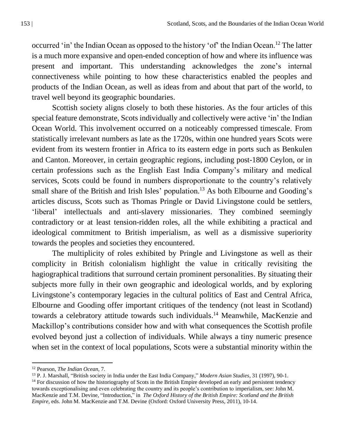occurred 'in' the Indian Ocean as opposed to the history 'of' the Indian Ocean.<sup>12</sup> The latter is a much more expansive and open-ended conception of how and where its influence was present and important. This understanding acknowledges the zone's internal connectiveness while pointing to how these characteristics enabled the peoples and products of the Indian Ocean, as well as ideas from and about that part of the world, to travel well beyond its geographic boundaries.

Scottish society aligns closely to both these histories. As the four articles of this special feature demonstrate, Scots individually and collectively were active 'in' the Indian Ocean World. This involvement occurred on a noticeably compressed timescale. From statistically irrelevant numbers as late as the 1720s, within one hundred years Scots were evident from its western frontier in Africa to its eastern edge in ports such as Benkulen and Canton. Moreover, in certain geographic regions, including post-1800 Ceylon, or in certain professions such as the English East India Company's military and medical services, Scots could be found in numbers disproportionate to the country's relatively small share of the British and Irish Isles' population.<sup>13</sup> As both Elbourne and Gooding's articles discuss, Scots such as Thomas Pringle or David Livingstone could be settlers, 'liberal' intellectuals and anti-slavery missionaries. They combined seemingly contradictory or at least tension-ridden roles, all the while exhibiting a practical and ideological commitment to British imperialism, as well as a dismissive superiority towards the peoples and societies they encountered.

The multiplicity of roles exhibited by Pringle and Livingstone as well as their complicity in British colonialism highlight the value in critically revisiting the hagiographical traditions that surround certain prominent personalities. By situating their subjects more fully in their own geographic and ideological worlds, and by exploring Livingstone's contemporary legacies in the cultural politics of East and Central Africa, Elbourne and Gooding offer important critiques of the tendency (not least in Scotland) towards a celebratory attitude towards such individuals. <sup>14</sup> Meanwhile, MacKenzie and Mackillop's contributions consider how and with what consequences the Scottish profile evolved beyond just a collection of individuals. While always a tiny numeric presence when set in the context of local populations, Scots were a substantial minority within the

<sup>12</sup> Pearson, *The Indian Ocean*, 7.

<sup>13</sup> P. J. Marshall, "British society in India under the East India Company," *Modern Asian Studies*, 31 (1997), 90-1.

 $<sup>14</sup>$  For discussion of how the historiography of Scots in the British Empire developed an early and persistent tendency</sup> towards exceptionalising and even celebrating the country and its people's contribution to imperialism, see: John M. MacKenzie and T.M. Devine, "Introduction," in *The Oxford History of the British Empire: Scotland and the British Empire*, eds. John M. MacKenzie and T.M. Devine (Oxford: Oxford University Press, 2011), 10-14.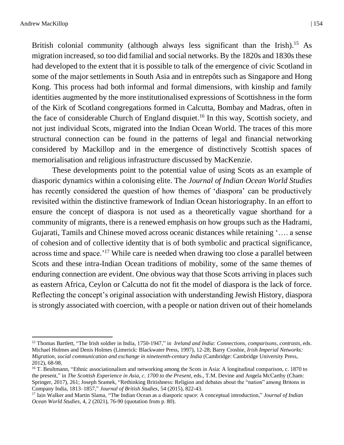British colonial community (although always less significant than the Irish).<sup>15</sup> As migration increased, so too did familial and social networks. By the 1820s and 1830s these had developed to the extent that it is possible to talk of the emergence of civic Scotland in some of the major settlements in South Asia and in entrepôts such as Singapore and Hong Kong. This process had both informal and formal dimensions, with kinship and family identities augmented by the more institutionalised expressions of Scottishness in the form of the Kirk of Scotland congregations formed in Calcutta, Bombay and Madras, often in the face of considerable Church of England disquiet. <sup>16</sup> In this way, Scottish society, and not just individual Scots, migrated into the Indian Ocean World. The traces of this more structural connection can be found in the patterns of legal and financial networking considered by Mackillop and in the emergence of distinctively Scottish spaces of memorialisation and religious infrastructure discussed by MacKenzie.

These developments point to the potential value of using Scots as an example of diasporic dynamics within a colonising elite. The *Journal of Indian Ocean World Studies* has recently considered the question of how themes of 'diaspora' can be productively revisited within the distinctive framework of Indian Ocean historiography. In an effort to ensure the concept of diaspora is not used as a theoretically vague shorthand for a community of migrants, there is a renewed emphasis on how groups such as the Hadrami, Gujarati, Tamils and Chinese moved across oceanic distances while retaining '…. a sense of cohesion and of collective identity that is of both symbolic and practical significance, across time and space.'<sup>17</sup> While care is needed when drawing too close a parallel between Scots and these intra-Indian Ocean traditions of mobility, some of the same themes of enduring connection are evident. One obvious way that those Scots arriving in places such as eastern Africa, Ceylon or Calcutta do not fit the model of diaspora is the lack of force. Reflecting the concept's original association with understanding Jewish History, diaspora is strongly associated with coercion, with a people or nation driven out of their homelands

<sup>15</sup> Thomas Bartlett, "The Irish soldier in India, 1750-1947," in *Ireland and India: Connections, comparisons, contrasts*, eds. Michael Holmes and Denis Holmes (Limerick: Blackwater Press, 1997), 12-28; Barry Crosbie, *Irish Imperial Networks: Migration, social communication and exchange in nineteenth-century India* (Cambridge: Cambridge University Press, 2012), 68-98.

<sup>&</sup>lt;sup>16</sup> T. Beultmann, "Ethnic associationalism and networking among the Scots in Asia: A longitudinal comparison, c. 1870 to the present," in *The Scottish Experience in Asia, c. 1700 to the Present*, eds., T.M. Devine and Angela McCarthy (Cham: Springer, 2017), 261; Joseph Sramek, "Rethinking Britishness: Religion and debates about the "nation" among Britons in Company India, 1813–1857," *Journal of British Studies*, 54 (2015), 822-43.

<sup>17</sup> Iain Walker and Martin Slama, "The Indian Ocean as a diasporic space: A conceptual introduction," *Journal of Indian Ocean World Studies*, 4, 2 (2021), 76-90 (quotation from p. 80).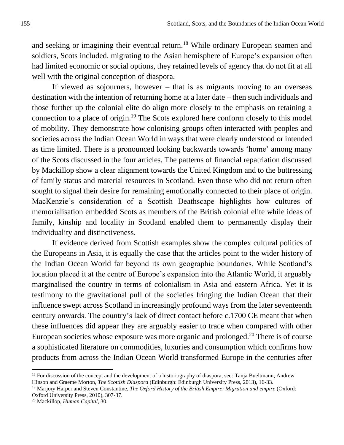and seeking or imagining their eventual return.<sup>18</sup> While ordinary European seamen and soldiers, Scots included, migrating to the Asian hemisphere of Europe's expansion often had limited economic or social options, they retained levels of agency that do not fit at all well with the original conception of diaspora.

If viewed as sojourners, however  $-$  that is as migrants moving to an overseas destination with the intention of returning home at a later date – then such individuals and those further up the colonial elite do align more closely to the emphasis on retaining a connection to a place of origin.<sup>19</sup> The Scots explored here conform closely to this model of mobility. They demonstrate how colonising groups often interacted with peoples and societies across the Indian Ocean World in ways that were clearly understood or intended as time limited. There is a pronounced looking backwards towards 'home' among many of the Scots discussed in the four articles. The patterns of financial repatriation discussed by Mackillop show a clear alignment towards the United Kingdom and to the buttressing of family status and material resources in Scotland. Even those who did not return often sought to signal their desire for remaining emotionally connected to their place of origin. MacKenzie's consideration of a Scottish Deathscape highlights how cultures of memorialisation embedded Scots as members of the British colonial elite while ideas of family, kinship and locality in Scotland enabled them to permanently display their individuality and distinctiveness.

If evidence derived from Scottish examples show the complex cultural politics of the Europeans in Asia, it is equally the case that the articles point to the wider history of the Indian Ocean World far beyond its own geographic boundaries. While Scotland's location placed it at the centre of Europe's expansion into the Atlantic World, it arguably marginalised the country in terms of colonialism in Asia and eastern Africa. Yet it is testimony to the gravitational pull of the societies fringing the Indian Ocean that their influence swept across Scotland in increasingly profound ways from the later seventeenth century onwards. The country's lack of direct contact before c.1700 CE meant that when these influences did appear they are arguably easier to trace when compared with other European societies whose exposure was more organic and prolonged.<sup>20</sup> There is of course a sophisticated literature on commodities, luxuries and consumption which confirms how products from across the Indian Ocean World transformed Europe in the centuries after

 $18$  For discussion of the concept and the development of a historiography of diaspora, see: Tanja Bueltmann, Andrew Hinson and Graeme Morton, *The Scottish Diaspora* (Edinburgh: Edinburgh University Press, 2013), 16-33.

<sup>&</sup>lt;sup>19</sup> Marjory Harper and Steven Constantine, *The Oxford History of the British Empire: Migration and empire* (Oxford: Oxford University Press, 2010), 307-37.

<sup>20</sup> Mackillop, *Human Capital*, 30.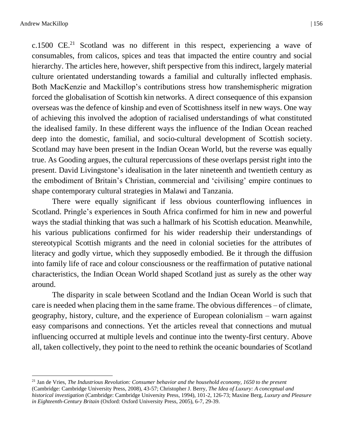c.1500  $CE.^{21}$  Scotland was no different in this respect, experiencing a wave of consumables, from calicos, spices and teas that impacted the entire country and social hierarchy. The articles here, however, shift perspective from this indirect, largely material culture orientated understanding towards a familial and culturally inflected emphasis. Both MacKenzie and Mackillop's contributions stress how transhemispheric migration forced the globalisation of Scottish kin networks. A direct consequence of this expansion overseas was the defence of kinship and even of Scottishness itself in new ways. One way of achieving this involved the adoption of racialised understandings of what constituted the idealised family. In these different ways the influence of the Indian Ocean reached deep into the domestic, familial, and socio-cultural development of Scottish society. Scotland may have been present in the Indian Ocean World, but the reverse was equally true. As Gooding argues, the cultural repercussions of these overlaps persist right into the present. David Livingstone's idealisation in the later nineteenth and twentieth century as the embodiment of Britain's Christian, commercial and 'civilising' empire continues to shape contemporary cultural strategies in Malawi and Tanzania.

There were equally significant if less obvious counterflowing influences in Scotland. Pringle's experiences in South Africa confirmed for him in new and powerful ways the stadial thinking that was such a hallmark of his Scottish education. Meanwhile, his various publications confirmed for his wider readership their understandings of stereotypical Scottish migrants and the need in colonial societies for the attributes of literacy and godly virtue, which they supposedly embodied. Be it through the diffusion into family life of race and colour consciousness or the reaffirmation of putative national characteristics, the Indian Ocean World shaped Scotland just as surely as the other way around.

The disparity in scale between Scotland and the Indian Ocean World is such that care is needed when placing them in the same frame. The obvious differences – of climate, geography, history, culture, and the experience of European colonialism – warn against easy comparisons and connections. Yet the articles reveal that connections and mutual influencing occurred at multiple levels and continue into the twenty-first century. Above all, taken collectively, they point to the need to rethink the oceanic boundaries of Scotland

<sup>21</sup> Jan de Vries, *The Industrious Revolution: Consumer behavior and the household economy, 1650 to the present*  (Cambridge: Cambridge University Press, 2008), 43-57; Christopher J. Berry, *The Idea of Luxury: A conceptual and historical investigation* (Cambridge: Cambridge University Press, 1994), 101-2, 126-73; Maxine Berg, *Luxury and Pleasure in Eighteenth-Century Britain* (Oxford: Oxford University Press, 2005), 6-7, 29-39.